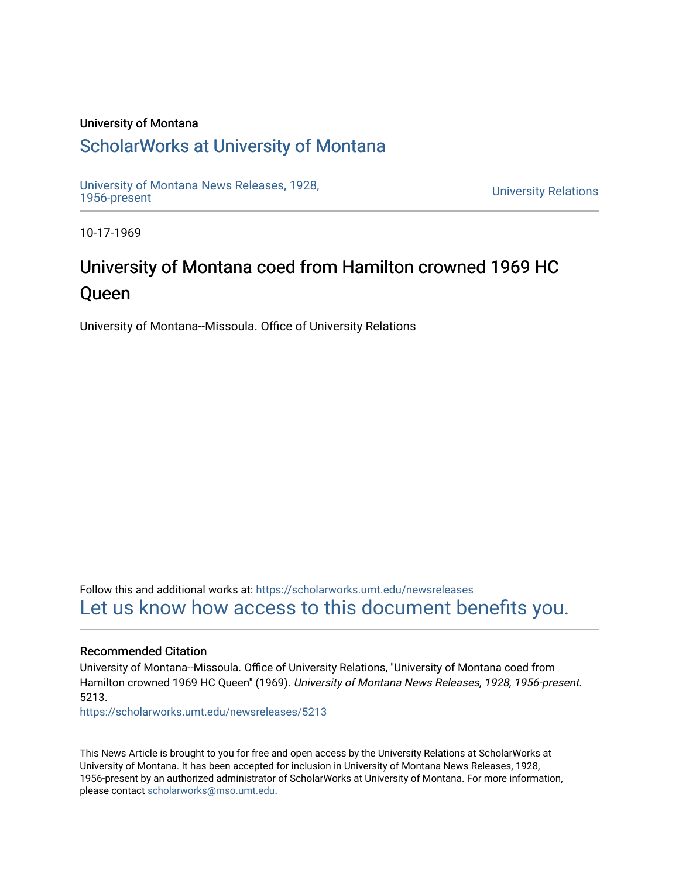#### University of Montana

### [ScholarWorks at University of Montana](https://scholarworks.umt.edu/)

[University of Montana News Releases, 1928,](https://scholarworks.umt.edu/newsreleases) 

**University Relations** 

10-17-1969

# University of Montana coed from Hamilton crowned 1969 HC Queen

University of Montana--Missoula. Office of University Relations

Follow this and additional works at: [https://scholarworks.umt.edu/newsreleases](https://scholarworks.umt.edu/newsreleases?utm_source=scholarworks.umt.edu%2Fnewsreleases%2F5213&utm_medium=PDF&utm_campaign=PDFCoverPages) [Let us know how access to this document benefits you.](https://goo.gl/forms/s2rGfXOLzz71qgsB2) 

#### Recommended Citation

University of Montana--Missoula. Office of University Relations, "University of Montana coed from Hamilton crowned 1969 HC Queen" (1969). University of Montana News Releases, 1928, 1956-present. 5213.

[https://scholarworks.umt.edu/newsreleases/5213](https://scholarworks.umt.edu/newsreleases/5213?utm_source=scholarworks.umt.edu%2Fnewsreleases%2F5213&utm_medium=PDF&utm_campaign=PDFCoverPages) 

This News Article is brought to you for free and open access by the University Relations at ScholarWorks at University of Montana. It has been accepted for inclusion in University of Montana News Releases, 1928, 1956-present by an authorized administrator of ScholarWorks at University of Montana. For more information, please contact [scholarworks@mso.umt.edu.](mailto:scholarworks@mso.umt.edu)